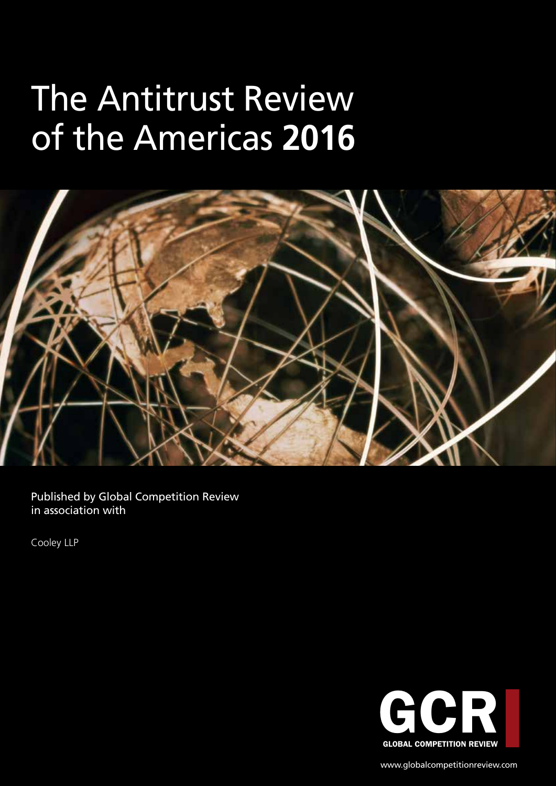# The Antitrust Review of the Americas **2016**



Published by Global Competition Review in association with

Cooley LLP



www.globalcompetitionreview.com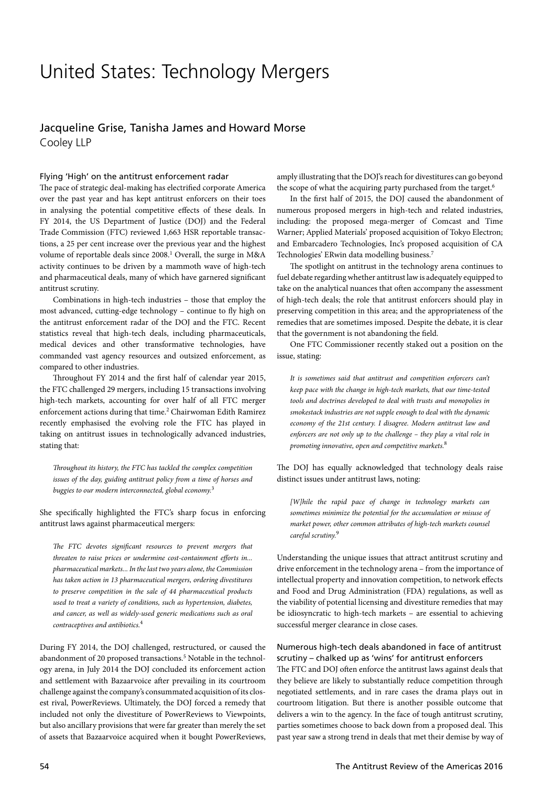### United States: Technology Mergers

#### Jacqueline Grise, Tanisha James and Howard Morse Cooley LLP

#### Flying 'High' on the antitrust enforcement radar

The pace of strategic deal-making has electrified corporate America over the past year and has kept antitrust enforcers on their toes in analysing the potential competitive effects of these deals. In FY 2014, the US Department of Justice (DOJ) and the Federal Trade Commission (FTC) reviewed 1,663 HSR reportable transactions, a 25 per cent increase over the previous year and the highest volume of reportable deals since 2008.<sup>1</sup> Overall, the surge in M&A activity continues to be driven by a mammoth wave of high-tech and pharmaceutical deals, many of which have garnered significant antitrust scrutiny.

Combinations in high-tech industries – those that employ the most advanced, cutting-edge technology – continue to fly high on the antitrust enforcement radar of the DOJ and the FTC. Recent statistics reveal that high-tech deals, including pharmaceuticals, medical devices and other transformative technologies, have commanded vast agency resources and outsized enforcement, as compared to other industries.

Throughout FY 2014 and the first half of calendar year 2015, the FTC challenged 29 mergers, including 15 transactions involving high-tech markets, accounting for over half of all FTC merger enforcement actions during that time.<sup>2</sup> Chairwoman Edith Ramirez recently emphasised the evolving role the FTC has played in taking on antitrust issues in technologically advanced industries, stating that:

*Throughout its history, the FTC has tackled the complex competition issues of the day, guiding antitrust policy from a time of horses and buggies to our modern interconnected, global economy.*<sup>3</sup>

She specifically highlighted the FTC's sharp focus in enforcing antitrust laws against pharmaceutical mergers:

*The FTC devotes significant resources to prevent mergers that threaten to raise prices or undermine cost-containment efforts in... pharmaceutical markets... In the last two years alone, the Commission has taken action in 13 pharmaceutical mergers, ordering divestitures to preserve competition in the sale of 44 pharmaceutical products used to treat a variety of conditions, such as hypertension, diabetes, and cancer, as well as widely-used generic medications such as oral contraceptives and antibiotics.*<sup>4</sup>

During FY 2014, the DOJ challenged, restructured, or caused the abandonment of 20 proposed transactions.<sup>5</sup> Notable in the technology arena, in July 2014 the DOJ concluded its enforcement action and settlement with Bazaarvoice after prevailing in its courtroom challenge against the company's consummated acquisition of its closest rival, PowerReviews. Ultimately, the DOJ forced a remedy that included not only the divestiture of PowerReviews to Viewpoints, but also ancillary provisions that were far greater than merely the set of assets that Bazaarvoice acquired when it bought PowerReviews,

amply illustrating that the DOJ's reach for divestitures can go beyond the scope of what the acquiring party purchased from the target.<sup>6</sup>

In the first half of 2015, the DOJ caused the abandonment of numerous proposed mergers in high-tech and related industries, including: the proposed mega-merger of Comcast and Time Warner; Applied Materials' proposed acquisition of Tokyo Electron; and Embarcadero Technologies, Inc's proposed acquisition of CA Technologies' ERwin data modelling business.7

The spotlight on antitrust in the technology arena continues to fuel debate regarding whether antitrust law is adequately equipped to take on the analytical nuances that often accompany the assessment of high-tech deals; the role that antitrust enforcers should play in preserving competition in this area; and the appropriateness of the remedies that are sometimes imposed. Despite the debate, it is clear that the government is not abandoning the field.

One FTC Commissioner recently staked out a position on the issue, stating:

*It is sometimes said that antitrust and competition enforcers can't keep pace with the change in high-tech markets, that our time-tested tools and doctrines developed to deal with trusts and monopolies in smokestack industries are not supple enough to deal with the dynamic economy of the 21st century. I disagree. Modern antitrust law and enforcers are not only up to the challenge – they play a vital role in promoting innovative, open and competitive markets.*<sup>8</sup>

The DOJ has equally acknowledged that technology deals raise distinct issues under antitrust laws, noting:

*[W]hile the rapid pace of change in technology markets can sometimes minimize the potential for the accumulation or misuse of market power, other common attributes of high-tech markets counsel careful scrutiny.*<sup>9</sup>

Understanding the unique issues that attract antitrust scrutiny and drive enforcement in the technology arena – from the importance of intellectual property and innovation competition, to network effects and Food and Drug Administration (FDA) regulations, as well as the viability of potential licensing and divestiture remedies that may be idiosyncratic to high-tech markets – are essential to achieving successful merger clearance in close cases.

#### Numerous high-tech deals abandoned in face of antitrust scrutiny – chalked up as 'wins' for antitrust enforcers

The FTC and DOJ often enforce the antitrust laws against deals that they believe are likely to substantially reduce competition through negotiated settlements, and in rare cases the drama plays out in courtroom litigation. But there is another possible outcome that delivers a win to the agency. In the face of tough antitrust scrutiny, parties sometimes choose to back down from a proposed deal. This past year saw a strong trend in deals that met their demise by way of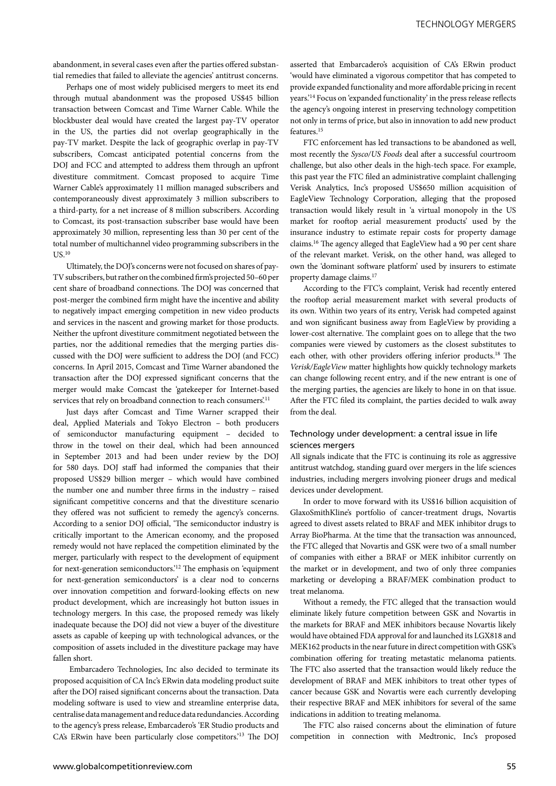abandonment, in several cases even after the parties offered substantial remedies that failed to alleviate the agencies' antitrust concerns.

Perhaps one of most widely publicised mergers to meet its end through mutual abandonment was the proposed US\$45 billion transaction between Comcast and Time Warner Cable. While the blockbuster deal would have created the largest pay-TV operator in the US, the parties did not overlap geographically in the pay-TV market. Despite the lack of geographic overlap in pay-TV subscribers, Comcast anticipated potential concerns from the DOJ and FCC and attempted to address them through an upfront divestiture commitment. Comcast proposed to acquire Time Warner Cable's approximately 11 million managed subscribers and contemporaneously divest approximately 3 million subscribers to a third-party, for a net increase of 8 million subscribers. According to Comcast, its post-transaction subscriber base would have been approximately 30 million, representing less than 30 per cent of the total number of multichannel video programming subscribers in the  $US.<sup>10</sup>$ 

Ultimately, the DOJ's concerns were not focused on shares of pay-TV subscribers, but rather on the combined firm's projected 50–60 per cent share of broadband connections. The DOJ was concerned that post-merger the combined firm might have the incentive and ability to negatively impact emerging competition in new video products and services in the nascent and growing market for those products. Neither the upfront divestiture commitment negotiated between the parties, nor the additional remedies that the merging parties discussed with the DOJ were sufficient to address the DOJ (and FCC) concerns. In April 2015, Comcast and Time Warner abandoned the transaction after the DOJ expressed significant concerns that the merger would make Comcast the 'gatekeeper for Internet-based services that rely on broadband connection to reach consumers.<sup>11</sup>

Just days after Comcast and Time Warner scrapped their deal, Applied Materials and Tokyo Electron – both producers of semiconductor manufacturing equipment – decided to throw in the towel on their deal, which had been announced in September 2013 and had been under review by the DOJ for 580 days. DOJ staff had informed the companies that their proposed US\$29 billion merger – which would have combined the number one and number three firms in the industry – raised significant competitive concerns and that the divestiture scenario they offered was not sufficient to remedy the agency's concerns. According to a senior DOJ official, 'The semiconductor industry is critically important to the American economy, and the proposed remedy would not have replaced the competition eliminated by the merger, particularly with respect to the development of equipment for next-generation semiconductors.'12 The emphasis on 'equipment for next-generation semiconductors' is a clear nod to concerns over innovation competition and forward-looking effects on new product development, which are increasingly hot button issues in technology mergers. In this case, the proposed remedy was likely inadequate because the DOJ did not view a buyer of the divestiture assets as capable of keeping up with technological advances, or the composition of assets included in the divestiture package may have fallen short.

 Embarcadero Technologies, Inc also decided to terminate its proposed acquisition of CA Inc's ERwin data modeling product suite after the DOJ raised significant concerns about the transaction. Data modeling software is used to view and streamline enterprise data, centralise data management and reduce data redundancies. According to the agency's press release, Embarcadero's 'ER Studio products and CA's ERwin have been particularly close competitors.'13 The DOJ

asserted that Embarcadero's acquisition of CA's ERwin product 'would have eliminated a vigorous competitor that has competed to provide expanded functionality and more affordable pricing in recent years.'14 Focus on 'expanded functionality' in the press release reflects the agency's ongoing interest in preserving technology competition not only in terms of price, but also in innovation to add new product features.15

FTC enforcement has led transactions to be abandoned as well, most recently the *Sysco/US Foods* deal after a successful courtroom challenge, but also other deals in the high-tech space. For example, this past year the FTC filed an administrative complaint challenging Verisk Analytics, Inc's proposed US\$650 million acquisition of EagleView Technology Corporation, alleging that the proposed transaction would likely result in 'a virtual monopoly in the US market for rooftop aerial measurement products' used by the insurance industry to estimate repair costs for property damage claims.16 The agency alleged that EagleView had a 90 per cent share of the relevant market. Verisk, on the other hand, was alleged to own the 'dominant software platform' used by insurers to estimate property damage claims.17

According to the FTC's complaint, Verisk had recently entered the rooftop aerial measurement market with several products of its own. Within two years of its entry, Verisk had competed against and won significant business away from EagleView by providing a lower-cost alternative. The complaint goes on to allege that the two companies were viewed by customers as the closest substitutes to each other, with other providers offering inferior products.18 The *Verisk/EagleView* matter highlights how quickly technology markets can change following recent entry, and if the new entrant is one of the merging parties, the agencies are likely to hone in on that issue. After the FTC filed its complaint, the parties decided to walk away from the deal.

#### Technology under development: a central issue in life sciences mergers

All signals indicate that the FTC is continuing its role as aggressive antitrust watchdog, standing guard over mergers in the life sciences industries, including mergers involving pioneer drugs and medical devices under development.

In order to move forward with its US\$16 billion acquisition of GlaxoSmithKline's portfolio of cancer-treatment drugs, Novartis agreed to divest assets related to BRAF and MEK inhibitor drugs to Array BioPharma. At the time that the transaction was announced, the FTC alleged that Novartis and GSK were two of a small number of companies with either a BRAF or MEK inhibitor currently on the market or in development, and two of only three companies marketing or developing a BRAF/MEK combination product to treat melanoma.

Without a remedy, the FTC alleged that the transaction would eliminate likely future competition between GSK and Novartis in the markets for BRAF and MEK inhibitors because Novartis likely would have obtained FDA approval for and launched its LGX818 and MEK162 products in the near future in direct competition with GSK's combination offering for treating metastatic melanoma patients. The FTC also asserted that the transaction would likely reduce the development of BRAF and MEK inhibitors to treat other types of cancer because GSK and Novartis were each currently developing their respective BRAF and MEK inhibitors for several of the same indications in addition to treating melanoma.

The FTC also raised concerns about the elimination of future competition in connection with Medtronic, Inc's proposed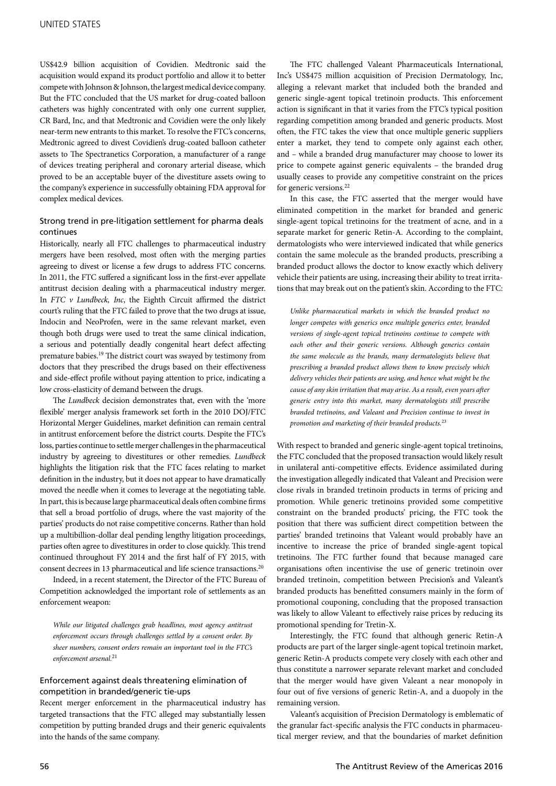US\$42.9 billion acquisition of Covidien. Medtronic said the acquisition would expand its product portfolio and allow it to better compete with Johnson & Johnson, the largest medical device company. But the FTC concluded that the US market for drug-coated balloon catheters was highly concentrated with only one current supplier, CR Bard, Inc, and that Medtronic and Covidien were the only likely near-term new entrants to this market. To resolve the FTC's concerns, Medtronic agreed to divest Covidien's drug-coated balloon catheter assets to The Spectranetics Corporation, a manufacturer of a range of devices treating peripheral and coronary arterial disease, which proved to be an acceptable buyer of the divestiture assets owing to the company's experience in successfully obtaining FDA approval for complex medical devices.

#### Strong trend in pre-litigation settlement for pharma deals continues

Historically, nearly all FTC challenges to pharmaceutical industry mergers have been resolved, most often with the merging parties agreeing to divest or license a few drugs to address FTC concerns. In 2011, the FTC suffered a significant loss in the first-ever appellate antitrust decision dealing with a pharmaceutical industry merger. In *FTC v Lundbeck, Inc*, the Eighth Circuit affirmed the district court's ruling that the FTC failed to prove that the two drugs at issue, Indocin and NeoProfen, were in the same relevant market, even though both drugs were used to treat the same clinical indication, a serious and potentially deadly congenital heart defect affecting premature babies.19 The district court was swayed by testimony from doctors that they prescribed the drugs based on their effectiveness and side-effect profile without paying attention to price, indicating a low cross-elasticity of demand between the drugs.

The *Lundbeck* decision demonstrates that, even with the 'more flexible' merger analysis framework set forth in the 2010 DOJ/FTC Horizontal Merger Guidelines, market definition can remain central in antitrust enforcement before the district courts. Despite the FTC's loss, parties continue to settle merger challenges in the pharmaceutical industry by agreeing to divestitures or other remedies. *Lundbeck* highlights the litigation risk that the FTC faces relating to market definition in the industry, but it does not appear to have dramatically moved the needle when it comes to leverage at the negotiating table. In part, this is because large pharmaceutical deals often combine firms that sell a broad portfolio of drugs, where the vast majority of the parties' products do not raise competitive concerns. Rather than hold up a multibillion-dollar deal pending lengthy litigation proceedings, parties often agree to divestitures in order to close quickly. This trend continued throughout FY 2014 and the first half of FY 2015, with consent decrees in 13 pharmaceutical and life science transactions.20

Indeed, in a recent statement, the Director of the FTC Bureau of Competition acknowledged the important role of settlements as an enforcement weapon:

*While our litigated challenges grab headlines, most agency antitrust enforcement occurs through challenges settled by a consent order. By sheer numbers, consent orders remain an important tool in the FTC's enforcement arsenal.*<sup>21</sup>

#### Enforcement against deals threatening elimination of competition in branded/generic tie-ups

Recent merger enforcement in the pharmaceutical industry has targeted transactions that the FTC alleged may substantially lessen competition by putting branded drugs and their generic equivalents into the hands of the same company.

The FTC challenged Valeant Pharmaceuticals International, Inc's US\$475 million acquisition of Precision Dermatology, Inc, alleging a relevant market that included both the branded and generic single-agent topical tretinoin products. This enforcement action is significant in that it varies from the FTC's typical position regarding competition among branded and generic products. Most often, the FTC takes the view that once multiple generic suppliers enter a market, they tend to compete only against each other, and – while a branded drug manufacturer may choose to lower its price to compete against generic equivalents – the branded drug usually ceases to provide any competitive constraint on the prices for generic versions.22

In this case, the FTC asserted that the merger would have eliminated competition in the market for branded and generic single-agent topical tretinoins for the treatment of acne, and in a separate market for generic Retin-A. According to the complaint, dermatologists who were interviewed indicated that while generics contain the same molecule as the branded products, prescribing a branded product allows the doctor to know exactly which delivery vehicle their patients are using, increasing their ability to treat irritations that may break out on the patient's skin. According to the FTC:

*Unlike pharmaceutical markets in which the branded product no longer competes with generics once multiple generics enter, branded versions of single-agent topical tretinoins continue to compete with each other and their generic versions. Although generics contain the same molecule as the brands, many dermatologists believe that prescribing a branded product allows them to know precisely which delivery vehicles their patients are using, and hence what might be the cause of any skin irritation that may arise. As a result, even years after generic entry into this market, many dermatologists still prescribe branded tretinoins, and Valeant and Precision continue to invest in promotion and marketing of their branded products.*<sup>23</sup>

With respect to branded and generic single-agent topical tretinoins, the FTC concluded that the proposed transaction would likely result in unilateral anti-competitive effects. Evidence assimilated during the investigation allegedly indicated that Valeant and Precision were close rivals in branded tretinoin products in terms of pricing and promotion. While generic tretinoins provided some competitive constraint on the branded products' pricing, the FTC took the position that there was sufficient direct competition between the parties' branded tretinoins that Valeant would probably have an incentive to increase the price of branded single-agent topical tretinoins. The FTC further found that because managed care organisations often incentivise the use of generic tretinoin over branded tretinoin, competition between Precision's and Valeant's branded products has benefitted consumers mainly in the form of promotional couponing, concluding that the proposed transaction was likely to allow Valeant to effectively raise prices by reducing its promotional spending for Tretin-X.

Interestingly, the FTC found that although generic Retin-A products are part of the larger single-agent topical tretinoin market, generic Retin-A products compete very closely with each other and thus constitute a narrower separate relevant market and concluded that the merger would have given Valeant a near monopoly in four out of five versions of generic Retin-A, and a duopoly in the remaining version.

Valeant's acquisition of Precision Dermatology is emblematic of the granular fact-specific analysis the FTC conducts in pharmaceutical merger review, and that the boundaries of market definition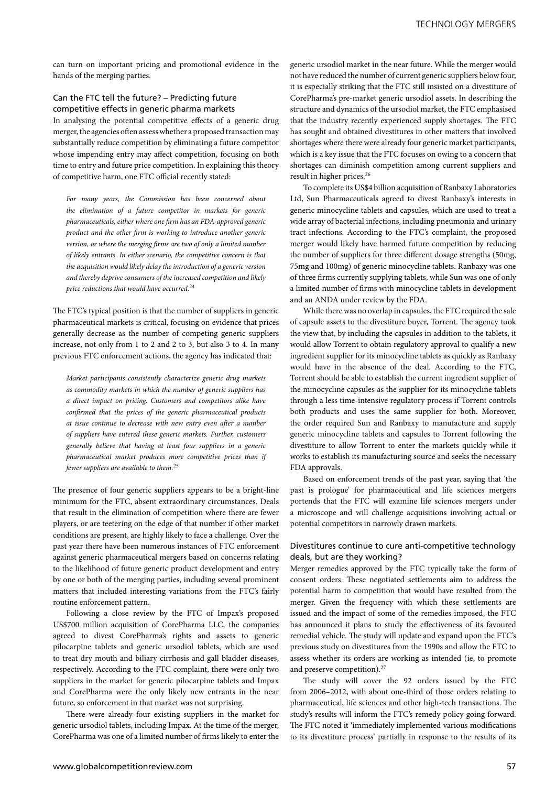can turn on important pricing and promotional evidence in the hands of the merging parties.

#### Can the FTC tell the future? – Predicting future competitive effects in generic pharma markets

In analysing the potential competitive effects of a generic drug merger, the agencies often assess whether a proposed transaction may substantially reduce competition by eliminating a future competitor whose impending entry may affect competition, focusing on both time to entry and future price competition. In explaining this theory of competitive harm, one FTC official recently stated:

*For many years, the Commission has been concerned about the elimination of a future competitor in markets for generic pharmaceuticals, either where one firm has an FDA-approved generic product and the other firm is working to introduce another generic version, or where the merging firms are two of only a limited number of likely entrants. In either scenario, the competitive concern is that the acquisition would likely delay the introduction of a generic version and thereby deprive consumers of the increased competition and likely price reductions that would have occurred.*<sup>24</sup>

The FTC's typical position is that the number of suppliers in generic pharmaceutical markets is critical, focusing on evidence that prices generally decrease as the number of competing generic suppliers increase, not only from 1 to 2 and 2 to 3, but also 3 to 4. In many previous FTC enforcement actions, the agency has indicated that:

*Market participants consistently characterize generic drug markets as commodity markets in which the number of generic suppliers has a direct impact on pricing. Customers and competitors alike have confirmed that the prices of the generic pharmaceutical products at issue continue to decrease with new entry even after a number of suppliers have entered these generic markets. Further, customers generally believe that having at least four suppliers in a generic pharmaceutical market produces more competitive prices than if fewer suppliers are available to them.*<sup>25</sup>

The presence of four generic suppliers appears to be a bright-line minimum for the FTC, absent extraordinary circumstances. Deals that result in the elimination of competition where there are fewer players, or are teetering on the edge of that number if other market conditions are present, are highly likely to face a challenge. Over the past year there have been numerous instances of FTC enforcement against generic pharmaceutical mergers based on concerns relating to the likelihood of future generic product development and entry by one or both of the merging parties, including several prominent matters that included interesting variations from the FTC's fairly routine enforcement pattern.

Following a close review by the FTC of Impax's proposed US\$700 million acquisition of CorePharma LLC, the companies agreed to divest CorePharma's rights and assets to generic pilocarpine tablets and generic ursodiol tablets, which are used to treat dry mouth and biliary cirrhosis and gall bladder diseases, respectively. According to the FTC complaint, there were only two suppliers in the market for generic pilocarpine tablets and Impax and CorePharma were the only likely new entrants in the near future, so enforcement in that market was not surprising.

There were already four existing suppliers in the market for generic ursodiol tablets, including Impax. At the time of the merger, CorePharma was one of a limited number of firms likely to enter the

generic ursodiol market in the near future. While the merger would not have reduced the number of current generic suppliers below four, it is especially striking that the FTC still insisted on a divestiture of CorePharma's pre-market generic ursodiol assets. In describing the structure and dynamics of the ursodiol market, the FTC emphasised that the industry recently experienced supply shortages. The FTC has sought and obtained divestitures in other matters that involved shortages where there were already four generic market participants, which is a key issue that the FTC focuses on owing to a concern that shortages can diminish competition among current suppliers and result in higher prices.<sup>26</sup>

To complete its US\$4 billion acquisition of Ranbaxy Laboratories Ltd, Sun Pharmaceuticals agreed to divest Ranbaxy's interests in generic minocycline tablets and capsules, which are used to treat a wide array of bacterial infections, including pneumonia and urinary tract infections. According to the FTC's complaint, the proposed merger would likely have harmed future competition by reducing the number of suppliers for three different dosage strengths (50mg, 75mg and 100mg) of generic minocycline tablets. Ranbaxy was one of three firms currently supplying tablets, while Sun was one of only a limited number of firms with minocycline tablets in development and an ANDA under review by the FDA.

While there was no overlap in capsules, the FTC required the sale of capsule assets to the divestiture buyer, Torrent. The agency took the view that, by including the capsules in addition to the tablets, it would allow Torrent to obtain regulatory approval to qualify a new ingredient supplier for its minocycline tablets as quickly as Ranbaxy would have in the absence of the deal. According to the FTC, Torrent should be able to establish the current ingredient supplier of the minocycline capsules as the supplier for its minocycline tablets through a less time-intensive regulatory process if Torrent controls both products and uses the same supplier for both. Moreover, the order required Sun and Ranbaxy to manufacture and supply generic minocycline tablets and capsules to Torrent following the divestiture to allow Torrent to enter the markets quickly while it works to establish its manufacturing source and seeks the necessary FDA approvals.

Based on enforcement trends of the past year, saying that 'the past is prologue' for pharmaceutical and life sciences mergers portends that the FTC will examine life sciences mergers under a microscope and will challenge acquisitions involving actual or potential competitors in narrowly drawn markets.

#### Divestitures continue to cure anti-competitive technology deals, but are they working?

Merger remedies approved by the FTC typically take the form of consent orders. These negotiated settlements aim to address the potential harm to competition that would have resulted from the merger. Given the frequency with which these settlements are issued and the impact of some of the remedies imposed, the FTC has announced it plans to study the effectiveness of its favoured remedial vehicle. The study will update and expand upon the FTC's previous study on divestitures from the 1990s and allow the FTC to assess whether its orders are working as intended (ie, to promote and preserve competition).27

The study will cover the 92 orders issued by the FTC from 2006–2012, with about one-third of those orders relating to pharmaceutical, life sciences and other high-tech transactions. The study's results will inform the FTC's remedy policy going forward. The FTC noted it 'immediately implemented various modifications to its divestiture process' partially in response to the results of its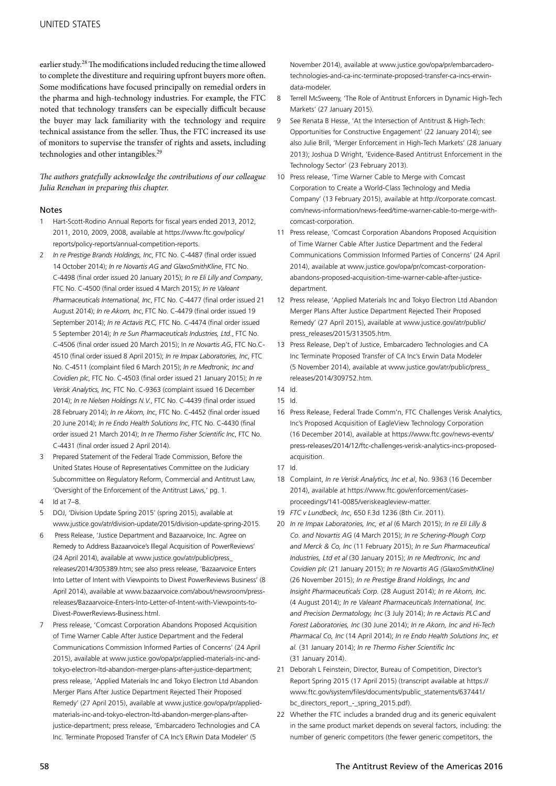earlier study.28 The modifications included reducing the time allowed to complete the divestiture and requiring upfront buyers more often. Some modifications have focused principally on remedial orders in the pharma and high-technology industries. For example, the FTC noted that technology transfers can be especially difficult because the buyer may lack familiarity with the technology and require technical assistance from the seller. Thus, the FTC increased its use of monitors to supervise the transfer of rights and assets, including technologies and other intangibles.<sup>29</sup>

*The authors gratefully acknowledge the contributions of our colleague Julia Renehan in preparing this chapter.*

#### Notes

- 1 Hart-Scott-Rodino Annual Reports for fiscal years ended 2013, 2012, 2011, 2010, 2009, 2008, available at https://www.ftc.gov/policy/ reports/policy-reports/annual-competition-reports.
- 2 *In re Prestige Brands Holdings, Inc*, FTC No. C-4487 (final order issued 14 October 2014); *In re Novartis AG and GlaxoSmithKline*, FTC No. C-4498 (final order issued 20 January 2015); *In re Eli Lilly and Company*, FTC No. C-4500 (final order issued 4 March 2015); *In re Valeant Pharmaceuticals International, Inc*, FTC No. C-4477 (final order issued 21 August 2014); *In re Akorn, Inc*, FTC No. C-4479 (final order issued 19 September 2014); *In re Actavis PLC,* FTC No. C-4474 (final order issued 5 September 2014); *In re Sun Pharmaceuticals Industries, Ltd*., FTC No. C-4506 (final order issued 20 March 2015); In *re Novartis AG*, FTC No.C-4510 (final order issued 8 April 2015); *In re Impax Laboratories, Inc*, FTC No. C-4511 (complaint filed 6 March 2015); *In re Medtronic, Inc and Covidien plc*, FTC No. C-4503 (final order issued 21 January 2015); *In re Verisk Analytics, Inc,* FTC No. C-9363 (complaint issued 16 December 2014); *In re Nielsen Holdings N.V.*, FTC No. C-4439 (final order issued 28 February 2014); *In re Akorn, Inc*, FTC No. C-4452 (final order issued 20 June 2014); *In re Endo Health Solutions Inc*, FTC No. C-4430 (final order issued 21 March 2014); *In re Thermo Fisher Scientific Inc*, FTC No. C-4431 (final order issued 2 April 2014).
- 3 Prepared Statement of the Federal Trade Commission, Before the United States House of Representatives Committee on the Judiciary Subcommittee on Regulatory Reform, Commercial and Antitrust Law, 'Oversight of the Enforcement of the Antitrust Laws,' pg. 1.
- 4 Id at 7–8.
- 5 DOJ, 'Division Update Spring 2015' (spring 2015), available at www.justice.gov/atr/division-update/2015/division-update-spring-2015.
- 6 Press Release, 'Justice Department and Bazaarvoice, Inc. Agree on Remedy to Address Bazaarvoice's Illegal Acquisition of PowerReviews' (24 April 2014), available at www.justice.gov/atr/public/press\_ releases/2014/305389.htm; see also press release, 'Bazaarvoice Enters Into Letter of Intent with Viewpoints to Divest PowerReviews Business' (8 April 2014), available at www.bazaarvoice.com/about/newsroom/pressreleases/Bazaarvoice-Enters-Into-Letter-of-Intent-with-Viewpoints-to-Divest-PowerReviews-Business.html.
- 7 Press release, 'Comcast Corporation Abandons Proposed Acquisition of Time Warner Cable After Justice Department and the Federal Communications Commission Informed Parties of Concerns' (24 April 2015), available at www.justice.gov/opa/pr/applied-materials-inc-andtokyo-electron-ltd-abandon-merger-plans-after-justice-department; press release, 'Applied Materials Inc and Tokyo Electron Ltd Abandon Merger Plans After Justice Department Rejected Their Proposed Remedy' (27 April 2015), available at www.justice.gov/opa/pr/appliedmaterials-inc-and-tokyo-electron-ltd-abandon-merger-plans-afterjustice-department; press release, 'Embarcadero Technologies and CA Inc. Terminate Proposed Transfer of CA Inc's ERwin Data Modeler' (5

November 2014), available at www.justice.gov/opa/pr/embarcaderotechnologies-and-ca-inc-terminate-proposed-transfer-ca-incs-erwindata-modeler.

- 8 Terrell McSweeny, 'The Role of Antitrust Enforcers in Dynamic High-Tech Markets' (27 January 2015).
- 9 See Renata B Hesse, 'At the Intersection of Antitrust & High-Tech: Opportunities for Constructive Engagement' (22 January 2014); see also Julie Brill, 'Merger Enforcement in High-Tech Markets' (28 January 2013); Joshua D Wright, 'Evidence-Based Antitrust Enforcement in the Technology Sector' (23 February 2013).
- 10 Press release, 'Time Warner Cable to Merge with Comcast Corporation to Create a World-Class Technology and Media Company' (13 February 2015), available at http://corporate.comcast. com/news-information/news-feed/time-warner-cable-to-merge-withcomcast-corporation.
- 11 Press release, 'Comcast Corporation Abandons Proposed Acquisition of Time Warner Cable After Justice Department and the Federal Communications Commission Informed Parties of Concerns' (24 April 2014), available at www.justice.gov/opa/pr/comcast-corporationabandons-proposed-acquisition-time-warner-cable-after-justicedepartment.
- 12 Press release, 'Applied Materials Inc and Tokyo Electron Ltd Abandon Merger Plans After Justice Department Rejected Their Proposed Remedy' (27 April 2015), available at www.justice.gov/atr/public/ press\_releases/2015/313505.htm.
- 13 Press Release, Dep't of Justice, Embarcadero Technologies and CA Inc Terminate Proposed Transfer of CA Inc's Erwin Data Modeler (5 November 2014), available at www.justice.gov/atr/public/press\_ releases/2014/309752.htm.
- 14 Id.
- 15 Id.
- 16 Press Release, Federal Trade Comm'n, FTC Challenges Verisk Analytics, Inc's Proposed Acquisition of EagleView Technology Corporation (16 December 2014), available at https://www.ftc.gov/news-events/ press-releases/2014/12/ftc-challenges-verisk-analytics-incs-proposedacquisition.
- 17 Id.
- 18 Complaint, *In re Verisk Analytics, Inc et al*, No. 9363 (16 December 2014), available at https://www.ftc.gov/enforcement/casesproceedings/141-0085/veriskeagleview-matter.
- 19 *FTC v Lundbeck, Inc*, 650 F.3d 1236 (8th Cir. 2011).
- 20 *In re Impax Laboratories, Inc, et al* (6 March 2015); *In re Eli Lilly & Co. and Novartis AG* (4 March 2015); *In re Schering-Plough Corp and Merck & Co, Inc* (11 February 2015); *In re Sun Pharmaceutical Industries, Ltd et al* (30 January 2015); *In re Medtronic, Inc and Covidien plc* (21 January 2015); *In re Novartis AG (GlaxoSmithKline)* (26 November 2015); *In re Prestige Brand Holdings, Inc and Insight Pharmaceuticals Corp.* (28 August 2014); *In re Akorn, Inc.* (4 August 2014); *In re Valeant Pharmaceuticals International, Inc. and Precision Dermatology, Inc* (3 July 2014); *In re Actavis PLC and Forest Laboratories, Inc* (30 June 2014); *In re Akorn, Inc and Hi-Tech Pharmacal Co, Inc* (14 April 2014); *In re Endo Health Solutions Inc, et al.* (31 January 2014); *In re Thermo Fisher Scientific Inc*  (31 January 2014).
- 21 Deborah L Feinstein, Director, Bureau of Competition, Director's Report Spring 2015 (17 April 2015) (transcript available at https:// www.ftc.gov/system/files/documents/public\_statements/637441/ bc\_directors\_report\_-\_spring\_2015.pdf).
- 22 Whether the FTC includes a branded drug and its generic equivalent in the same product market depends on several factors, including: the number of generic competitors (the fewer generic competitors, the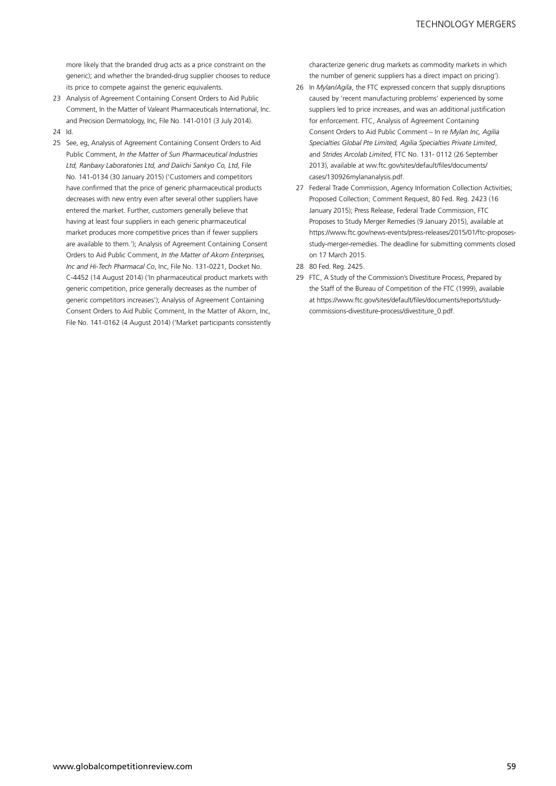more likely that the branded drug acts as a price constraint on the generic); and whether the branded-drug supplier chooses to reduce its price to compete against the generic equivalents.

- 23 Analysis of Agreement Containing Consent Orders to Aid Public Comment, In the Matter of Valeant Pharmaceuticals International, Inc. and Precision Dermatology, Inc, File No. 141-0101 (3 July 2014).
- 24 Id.
- 25 See, eg, Analysis of Agreement Containing Consent Orders to Aid Public Comment, *In the Matter of Sun Pharmaceutical Industries Ltd, Ranbaxy Laboratories Ltd, and Daiichi Sankyo Co, Ltd*, File No. 141-0134 (30 January 2015) ('Customers and competitors have confirmed that the price of generic pharmaceutical products decreases with new entry even after several other suppliers have entered the market. Further, customers generally believe that having at least four suppliers in each generic pharmaceutical market produces more competitive prices than if fewer suppliers are available to them.'); Analysis of Agreement Containing Consent Orders to Aid Public Comment, *In the Matter of Akorn Enterprises, Inc and Hi-Tech Pharmacal Co*, Inc, File No. 131-0221, Docket No. C-4452 (14 August 2014) ('In pharmaceutical product markets with generic competition, price generally decreases as the number of generic competitors increases'); Analysis of Agreement Containing Consent Orders to Aid Public Comment, In the Matter of Akorn, Inc, File No. 141-0162 (4 August 2014) ('Market participants consistently

characterize generic drug markets as commodity markets in which the number of generic suppliers has a direct impact on pricing').

- 26 In *Mylan/Agila*, the FTC expressed concern that supply disruptions caused by 'recent manufacturing problems' experienced by some suppliers led to price increases, and was an additional justification for enforcement. FTC, Analysis of Agreement Containing Consent Orders to Aid Public Comment – In r*e Mylan Inc, Agilia Specialties Global Pte Limited, Agilia Specialties Private Limited*, and *Strides Arcolab Limited*, FTC No. 131- 0112 (26 September 2013), available at ww.ftc.gov/sites/default/files/documents/ cases/130926mylananalysis.pdf.
- 27 Federal Trade Commission, Agency Information Collection Activities; Proposed Collection; Comment Request, 80 Fed. Reg. 2423 (16 January 2015); Press Release, Federal Trade Commission, FTC Proposes to Study Merger Remedies (9 January 2015), available at https://www.ftc.gov/news-events/press-releases/2015/01/ftc-proposesstudy-merger-remedies. The deadline for submitting comments closed on 17 March 2015.
- 28 80 Fed. Reg. 2425.
- 29 FTC, A Study of the Commission's Divestiture Process, Prepared by the Staff of the Bureau of Competition of the FTC (1999), available at https://www.ftc.gov/sites/default/files/documents/reports/studycommissions-divestiture-process/divestiture\_0.pdf.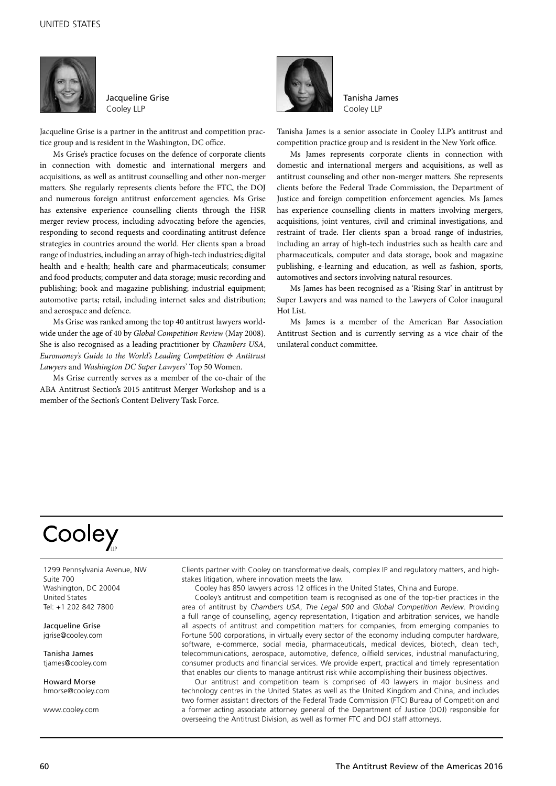

Jacqueline Grise Cooley LLP

Jacqueline Grise is a partner in the antitrust and competition practice group and is resident in the Washington, DC office.

Ms Grise's practice focuses on the defence of corporate clients in connection with domestic and international mergers and acquisitions, as well as antitrust counselling and other non-merger matters. She regularly represents clients before the FTC, the DOJ and numerous foreign antitrust enforcement agencies. Ms Grise has extensive experience counselling clients through the HSR merger review process, including advocating before the agencies, responding to second requests and coordinating antitrust defence strategies in countries around the world. Her clients span a broad range of industries, including an array of high-tech industries; digital health and e-health; health care and pharmaceuticals; consumer and food products; computer and data storage; music recording and publishing; book and magazine publishing; industrial equipment; automotive parts; retail, including internet sales and distribution; and aerospace and defence.

Ms Grise was ranked among the top 40 antitrust lawyers worldwide under the age of 40 by *Global Competition Review* (May 2008). She is also recognised as a leading practitioner by *Chambers USA*, *Euromoney's Guide to the World's Leading Competition & Antitrust Lawyers* and *Washington DC Super Lawyers*' Top 50 Women.

Ms Grise currently serves as a member of the co-chair of the ABA Antitrust Section's 2015 antitrust Merger Workshop and is a member of the Section's Content Delivery Task Force.



Tanisha James Cooley LLP

Tanisha James is a senior associate in Cooley LLP's antitrust and competition practice group and is resident in the New York office.

Ms James represents corporate clients in connection with domestic and international mergers and acquisitions, as well as antitrust counseling and other non-merger matters. She represents clients before the Federal Trade Commission, the Department of Justice and foreign competition enforcement agencies. Ms James has experience counselling clients in matters involving mergers, acquisitions, joint ventures, civil and criminal investigations, and restraint of trade. Her clients span a broad range of industries, including an array of high-tech industries such as health care and pharmaceuticals, computer and data storage, book and magazine publishing, e-learning and education, as well as fashion, sports, automotives and sectors involving natural resources.

Ms James has been recognised as a 'Rising Star' in antitrust by Super Lawyers and was named to the Lawyers of Color inaugural Hot List.

Ms James is a member of the American Bar Association Antitrust Section and is currently serving as a vice chair of the unilateral conduct committee.

## Cooley

1299 Pennsylvania Avenue, NW Suite 700 Washington, DC 20004 United States Tel: +1 202 842 7800

Jacqueline Grise jgrise@cooley.com

Tanisha James tjames@cooley.com

Howard Morse hmorse@cooley.com

www.cooley.com

Clients partner with Cooley on transformative deals, complex IP and regulatory matters, and highstakes litigation, where innovation meets the law.

Cooley has 850 lawyers across 12 offices in the United States, China and Europe.

Cooley's antitrust and competition team is recognised as one of the top-tier practices in the area of antitrust by *Chambers USA*, *The Legal 500* and *Global Competition Review*. Providing a full range of counselling, agency representation, litigation and arbitration services, we handle all aspects of antitrust and competition matters for companies, from emerging companies to Fortune 500 corporations, in virtually every sector of the economy including computer hardware, software, e-commerce, social media, pharmaceuticals, medical devices, biotech, clean tech, telecommunications, aerospace, automotive, defence, oilfield services, industrial manufacturing, consumer products and financial services. We provide expert, practical and timely representation that enables our clients to manage antitrust risk while accomplishing their business objectives.

Our antitrust and competition team is comprised of 40 lawyers in major business and technology centres in the United States as well as the United Kingdom and China, and includes two former assistant directors of the Federal Trade Commission (FTC) Bureau of Competition and a former acting associate attorney general of the Department of Justice (DOJ) responsible for overseeing the Antitrust Division, as well as former FTC and DOJ staff attorneys.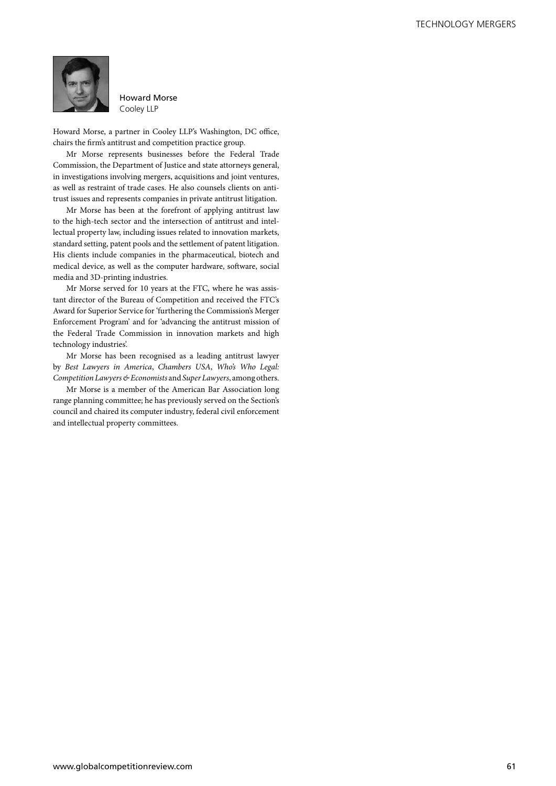

Howard Morse Cooley LLP

Howard Morse, a partner in Cooley LLP's Washington, DC office, chairs the firm's antitrust and competition practice group.

Mr Morse represents businesses before the Federal Trade Commission, the Department of Justice and state attorneys general, in investigations involving mergers, acquisitions and joint ventures, as well as restraint of trade cases. He also counsels clients on antitrust issues and represents companies in private antitrust litigation.

Mr Morse has been at the forefront of applying antitrust law to the high-tech sector and the intersection of antitrust and intellectual property law, including issues related to innovation markets, standard setting, patent pools and the settlement of patent litigation. His clients include companies in the pharmaceutical, biotech and medical device, as well as the computer hardware, software, social media and 3D-printing industries.

Mr Morse served for 10 years at the FTC, where he was assistant director of the Bureau of Competition and received the FTC's Award for Superior Service for 'furthering the Commission's Merger Enforcement Program' and for 'advancing the antitrust mission of the Federal Trade Commission in innovation markets and high technology industries'.

Mr Morse has been recognised as a leading antitrust lawyer by *Best Lawyers in America*, *Chambers USA*, *Who's Who Legal: Competition Lawyers & Economists* and *Super Lawyers*, among others.

Mr Morse is a member of the American Bar Association long range planning committee; he has previously served on the Section's council and chaired its computer industry, federal civil enforcement and intellectual property committees.